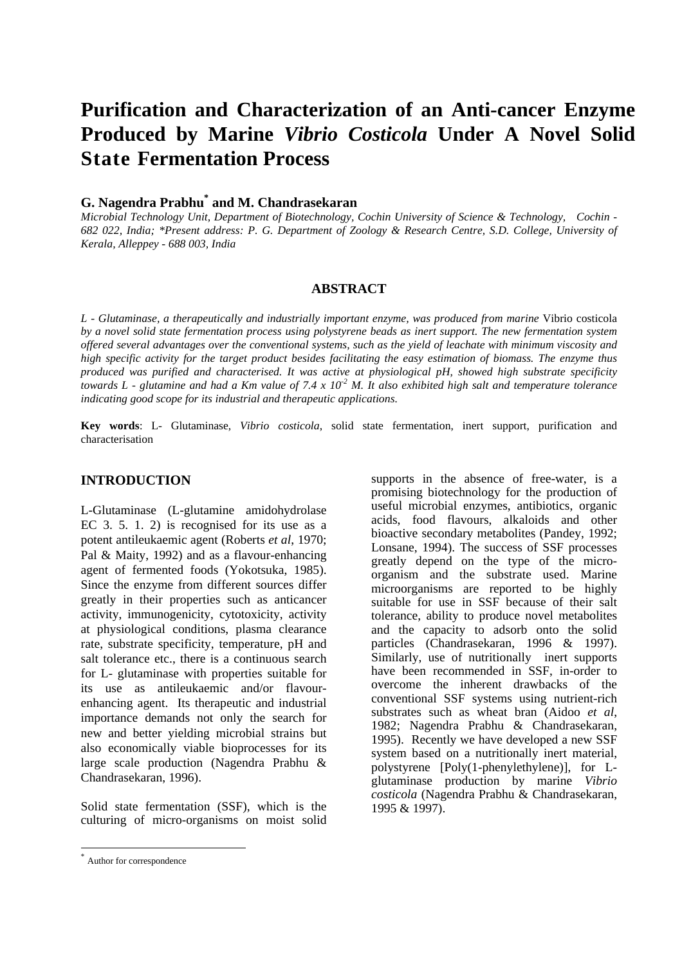# **Purification and Characterization of an Anti-cancer Enzyme Produced by Marine** *Vibrio Costicola* **Under A Novel Solid State Fermentation Process**

# **G. Nagendra Prabhu\* and M. Chandrasekaran**

*Microbial Technology Unit, Department of Biotechnology, Cochin University of Science & Technology, Cochin - 682 022, India; \*Present address: P. G. Department of Zoology & Research Centre, S.D. College, University of Kerala, Alleppey - 688 003, India*

#### **ABSTRACT**

*L - Glutaminase, a therapeutically and industrially important enzyme, was produced from marine* Vibrio costicola *by a novel solid state fermentation process using polystyrene beads as inert support. The new fermentation system offered several advantages over the conventional systems, such as the yield of leachate with minimum viscosity and high specific activity for the target product besides facilitating the easy estimation of biomass. The enzyme thus produced was purified and characterised. It was active at physiological pH, showed high substrate specificity towards L - glutamine and had a Km value of 7.4 x 10-2 M. It also exhibited high salt and temperature tolerance indicating good scope for its industrial and therapeutic applications.*

**Key words**: L- Glutaminase, *Vibrio costicola*, solid state fermentation, inert support, purification and characterisation

#### **INTRODUCTION**

L-Glutaminase (L-glutamine amidohydrolase EC 3. 5. 1. 2) is recognised for its use as a potent antileukaemic agent (Roberts *et al*, 1970; Pal & Maity, 1992) and as a flavour-enhancing agent of fermented foods (Yokotsuka, 1985). Since the enzyme from different sources differ greatly in their properties such as anticancer activity, immunogenicity, cytotoxicity, activity at physiological conditions, plasma clearance rate, substrate specificity, temperature, pH and salt tolerance etc., there is a continuous search for L- glutaminase with properties suitable for its use as antileukaemic and/or flavourenhancing agent. Its therapeutic and industrial importance demands not only the search for new and better yielding microbial strains but also economically viable bioprocesses for its large scale production (Nagendra Prabhu & Chandrasekaran, 1996).

Solid state fermentation (SSF), which is the culturing of micro-organisms on moist solid

 $\overline{\phantom{a}}$ 

supports in the absence of free-water, is a promising biotechnology for the production of useful microbial enzymes, antibiotics, organic acids, food flavours, alkaloids and other bioactive secondary metabolites (Pandey, 1992; Lonsane, 1994). The success of SSF processes greatly depend on the type of the microorganism and the substrate used. Marine microorganisms are reported to be highly suitable for use in SSF because of their salt tolerance, ability to produce novel metabolites and the capacity to adsorb onto the solid particles (Chandrasekaran, 1996 & 1997). Similarly, use of nutritionally inert supports have been recommended in SSF, in-order to overcome the inherent drawbacks of the conventional SSF systems using nutrient-rich substrates such as wheat bran (Aidoo *et al*, 1982; Nagendra Prabhu & Chandrasekaran, 1995). Recently we have developed a new SSF system based on a nutritionally inert material, polystyrene [Poly(1-phenylethylene)], for Lglutaminase production by marine *Vibrio costicola* (Nagendra Prabhu & Chandrasekaran, 1995 & 1997).

<sup>\*</sup> Author for correspondence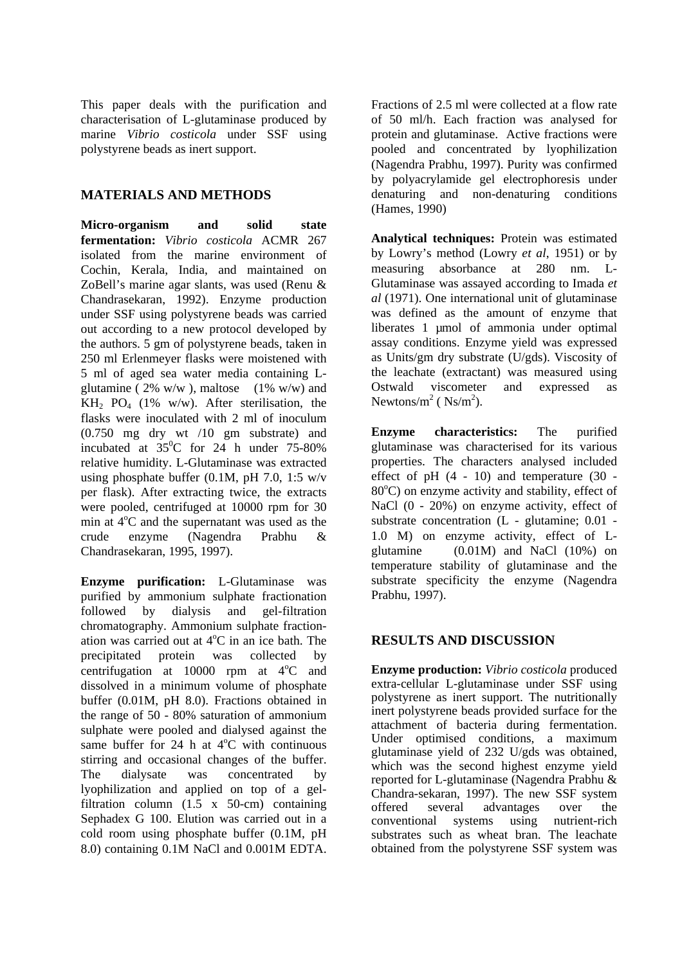This paper deals with the purification and characterisation of L-glutaminase produced by marine *Vibrio costicola* under SSF using polystyrene beads as inert support.

## **MATERIALS AND METHODS**

**Micro-organism and solid state fermentation:** *Vibrio costicola* ACMR 267 isolated from the marine environment of Cochin, Kerala, India, and maintained on ZoBell's marine agar slants, was used (Renu & Chandrasekaran, 1992). Enzyme production under SSF using polystyrene beads was carried out according to a new protocol developed by the authors. 5 gm of polystyrene beads, taken in 250 ml Erlenmeyer flasks were moistened with 5 ml of aged sea water media containing Lglutamine ( $2\%$  w/w), maltose ( $1\%$  w/w) and  $KH_{2}$  PO<sub>4</sub> (1% w/w). After sterilisation, the flasks were inoculated with 2 ml of inoculum (0.750 mg dry wt /10 gm substrate) and incubated at  $35^{\circ}$ C for 24 h under 75-80% relative humidity. L-Glutaminase was extracted using phosphate buffer (0.1M, pH 7.0, 1:5 w/v per flask). After extracting twice, the extracts were pooled, centrifuged at 10000 rpm for 30 min at  $4^{\circ}$ C and the supernatant was used as the crude enzyme (Nagendra Prabhu & Chandrasekaran, 1995, 1997).

**Enzyme purification:** L-Glutaminase was purified by ammonium sulphate fractionation followed by dialysis and gel-filtration chromatography. Ammonium sulphate fractionation was carried out at  $4^{\circ}$ C in an ice bath. The precipitated protein was collected by centrifugation at 10000 rpm at  $4^{\circ}$ C and dissolved in a minimum volume of phosphate buffer (0.01M, pH 8.0). Fractions obtained in the range of 50 - 80% saturation of ammonium sulphate were pooled and dialysed against the same buffer for 24 h at  $4^{\circ}$ C with continuous stirring and occasional changes of the buffer. The dialysate was concentrated by lyophilization and applied on top of a gelfiltration column (1.5 x 50-cm) containing Sephadex G 100. Elution was carried out in a cold room using phosphate buffer (0.1M, pH 8.0) containing 0.1M NaCl and 0.001M EDTA. Fractions of 2.5 ml were collected at a flow rate of 50 ml/h. Each fraction was analysed for protein and glutaminase. Active fractions were pooled and concentrated by lyophilization (Nagendra Prabhu, 1997). Purity was confirmed by polyacrylamide gel electrophoresis under denaturing and non-denaturing conditions (Hames, 1990)

**Analytical techniques:** Protein was estimated by Lowry's method (Lowry *et al*, 1951) or by measuring absorbance at 280 nm. L-Glutaminase was assayed according to Imada *et al* (1971). One international unit of glutaminase was defined as the amount of enzyme that liberates 1 µmol of ammonia under optimal assay conditions. Enzyme yield was expressed as Units/gm dry substrate (U/gds). Viscosity of the leachate (extractant) was measured using Ostwald viscometer and expressed as Newtons/ $m^2$  (  $Ns/m^2$ ).

**Enzyme characteristics:** The purified glutaminase was characterised for its various properties. The characters analysed included effect of  $pH$   $(4 - 10)$  and temperature  $(30 80^{\circ}$ C) on enzyme activity and stability, effect of NaCl (0 - 20%) on enzyme activity, effect of substrate concentration (L - glutamine; 0.01 - 1.0 M) on enzyme activity, effect of Lglutamine (0.01M) and NaCl (10%) on temperature stability of glutaminase and the substrate specificity the enzyme (Nagendra Prabhu, 1997).

## **RESULTS AND DISCUSSION**

**Enzyme production:** *Vibrio costicola* produced extra-cellular L-glutaminase under SSF using polystyrene as inert support. The nutritionally inert polystyrene beads provided surface for the attachment of bacteria during fermentation. Under optimised conditions, a maximum glutaminase yield of 232 U/gds was obtained, which was the second highest enzyme yield reported for L-glutaminase (Nagendra Prabhu & Chandra-sekaran, 1997). The new SSF system offered several advantages over the conventional systems using nutrient-rich substrates such as wheat bran. The leachate obtained from the polystyrene SSF system was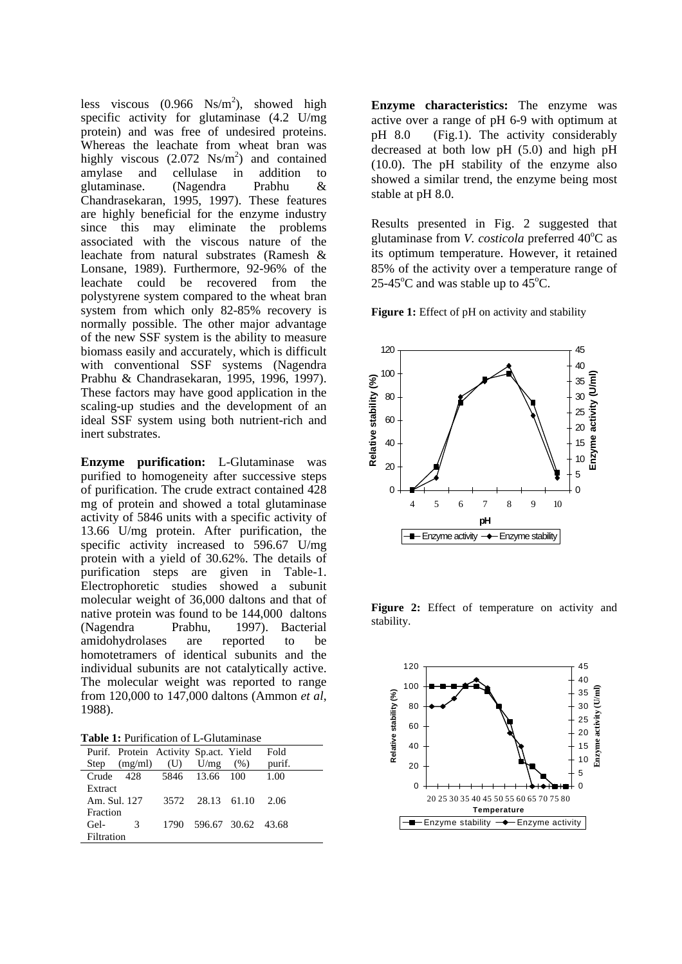less viscous  $(0.966 \text{Ns/m}^2)$ , showed high specific activity for glutaminase (4.2 U/mg protein) and was free of undesired proteins. Whereas the leachate from wheat bran was highly viscous  $(2.072 \text{ Ns/m}^2)$  and contained amylase and cellulase in addition to glutaminase. (Nagendra Prabhu & Chandrasekaran, 1995, 1997). These features are highly beneficial for the enzyme industry since this may eliminate the problems associated with the viscous nature of the leachate from natural substrates (Ramesh & Lonsane, 1989). Furthermore, 92-96% of the leachate could be recovered from the polystyrene system compared to the wheat bran system from which only 82-85% recovery is normally possible. The other major advantage of the new SSF system is the ability to measure biomass easily and accurately, which is difficult with conventional SSF systems (Nagendra Prabhu & Chandrasekaran, 1995, 1996, 1997). These factors may have good application in the scaling-up studies and the development of an ideal SSF system using both nutrient-rich and inert substrates.

**Enzyme purification:** L-Glutaminase was purified to homogeneity after successive steps of purification. The crude extract contained 428 mg of protein and showed a total glutaminase activity of 5846 units with a specific activity of 13.66 U/mg protein. After purification, the specific activity increased to 596.67 U/mg protein with a yield of 30.62%. The details of purification steps are given in Table-1. Electrophoretic studies showed a subunit molecular weight of 36,000 daltons and that of native protein was found to be 144,000 daltons (Nagendra Prabhu, 1997). Bacterial amidohydrolases are reported to be homotetramers of identical subunits and the individual subunits are not catalytically active. The molecular weight was reported to range from 120,000 to 147,000 daltons (Ammon *et al*, 1988).

**Table 1:** Purification of L-Glutaminase

|                | Purif. Protein Activity Sp. act. Yield |     |                         |      | Fold   |
|----------------|----------------------------------------|-----|-------------------------|------|--------|
| Step           | (mg/ml)                                | (U) | U/mg                    | (% ) | purif. |
| $C$ rude $428$ |                                        |     | 5846 13.66 100          |      | 1.00   |
| Extract        |                                        |     |                         |      |        |
| Am. Sul. 127   |                                        |     | 3572 28.13 61.10        |      | 2.06   |
| Fraction       |                                        |     |                         |      |        |
| Gel-           | 3                                      |     | 1790 596.67 30.62 43.68 |      |        |
| Filtration     |                                        |     |                         |      |        |

**Enzyme characteristics:** The enzyme was active over a range of pH 6-9 with optimum at pH 8.0 (Fig.1). The activity considerably decreased at both low pH (5.0) and high pH (10.0). The pH stability of the enzyme also showed a similar trend, the enzyme being most stable at pH 8.0.

Results presented in Fig. 2 suggested that glutaminase from *V. costicola* preferred 40°C as its optimum temperature. However, it retained 85% of the activity over a temperature range of 25-45 $^{\circ}$ C and was stable up to 45 $^{\circ}$ C.

**Figure 1:** Effect of pH on activity and stability



Figure 2: Effect of temperature on activity and stability.

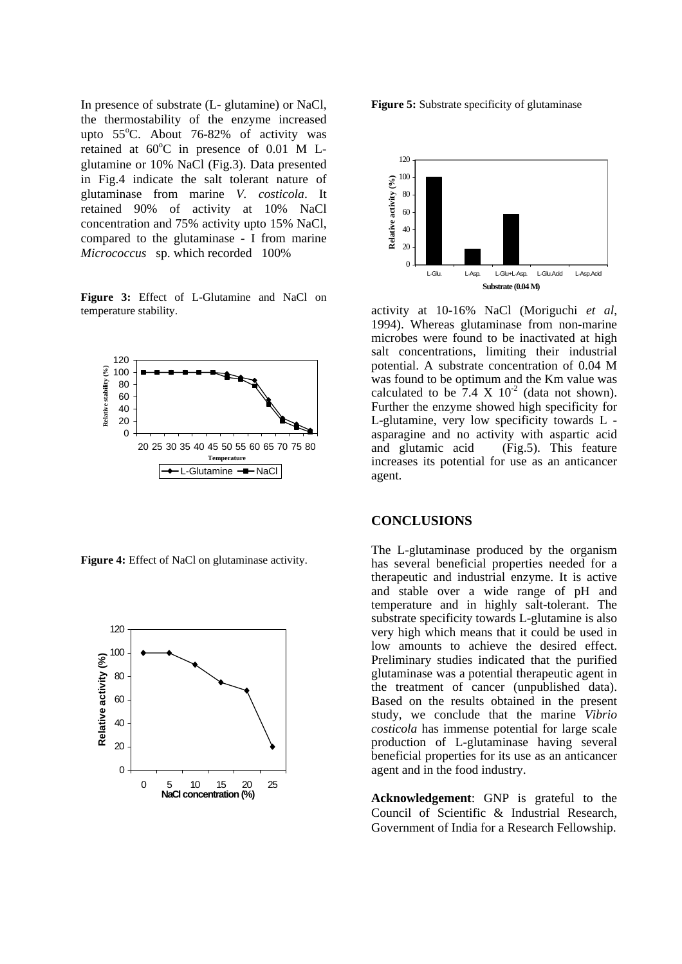In presence of substrate (L- glutamine) or NaCl, the thermostability of the enzyme increased upto  $55^{\circ}$ C. About 76-82% of activity was retained at  $60^{\circ}$ C in presence of 0.01 M Lglutamine or 10% NaCl (Fig.3). Data presented in Fig.4 indicate the salt tolerant nature of glutaminase from marine *V. costicola*. It retained 90% of activity at 10% NaCl concentration and 75% activity upto 15% NaCl, compared to the glutaminase - I from marine *Micrococcus* sp. which recorded 100%

**Figure 3:** Effect of L-Glutamine and NaCl on temperature stability.



**Figure 4:** Effect of NaCl on glutaminase activity.





activity at 10-16% NaCl (Moriguchi *et al*, 1994). Whereas glutaminase from non-marine microbes were found to be inactivated at high salt concentrations, limiting their industrial potential. A substrate concentration of 0.04 M was found to be optimum and the Km value was calculated to be  $7.4 \times 10^{-2}$  (data not shown). Further the enzyme showed high specificity for L-glutamine, very low specificity towards L asparagine and no activity with aspartic acid and glutamic acid (Fig.5). This feature increases its potential for use as an anticancer agent.

## **CONCLUSIONS**

The L-glutaminase produced by the organism has several beneficial properties needed for a therapeutic and industrial enzyme. It is active and stable over a wide range of pH and temperature and in highly salt-tolerant. The substrate specificity towards L-glutamine is also very high which means that it could be used in low amounts to achieve the desired effect. Preliminary studies indicated that the purified glutaminase was a potential therapeutic agent in the treatment of cancer (unpublished data). Based on the results obtained in the present study, we conclude that the marine *Vibrio costicola* has immense potential for large scale production of L-glutaminase having several beneficial properties for its use as an anticancer agent and in the food industry.

**Acknowledgement**: GNP is grateful to the Council of Scientific & Industrial Research, Government of India for a Research Fellowship.